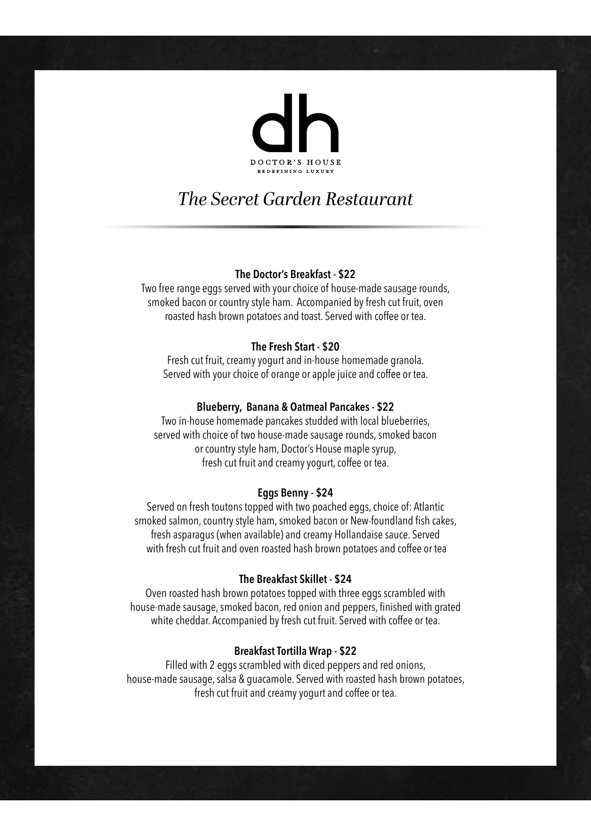

# *The Secret Garden Restaurant*

### **The Doctor's Breakfast - \$22**

Two free range eggs served with your choice of house-made sausage rounds, smoked bacon or country style ham. Accompanied by fresh cut fruit, oven roasted hash brown potatoes and toast. Served with coffee or tea.

## **The Fresh Start - \$20**

Fresh cut fruit, creamy yogurt and in-house homemade granola. Served with your choice of orange or apple juice and coffee or tea.

#### **Blueberry, Banana & Oatmeal Pancakes - \$22**

Two in-house homemade pancakes studded with local blueberries, served with choice of two house-made sausage rounds, smoked bacon or country style ham, Doctor's House maple syrup, fresh cut fruit and creamy yogurt, coffee or tea.

#### **Eggs Benny - \$24**

Served on fresh toutons topped with two poached eggs, choice of: Atlantic smoked salmon, country style ham, smoked bacon or New-foundland fish cakes, fresh asparagus (when available) and creamy Hollandaise sauce. Served with fresh cut fruit and oven roasted hash brown potatoes and coffee or tea

## **The Breakfast Skillet - \$24**

Oven roasted hash brown potatoes topped with three eggs scrambled with house-made sausage, smoked bacon, red onion and peppers, finished with grated white cheddar. Accompanied by fresh cut fruit. Served with coffee or tea.

#### **Breakfast Tortilla Wrap - \$22**

Filled with 2 eggs scrambled with diced peppers and red onions, house-made sausage, salsa & guacamole. Served with roasted hash brown potatoes, fresh cut fruit and creamy yogurt and coffee or tea.